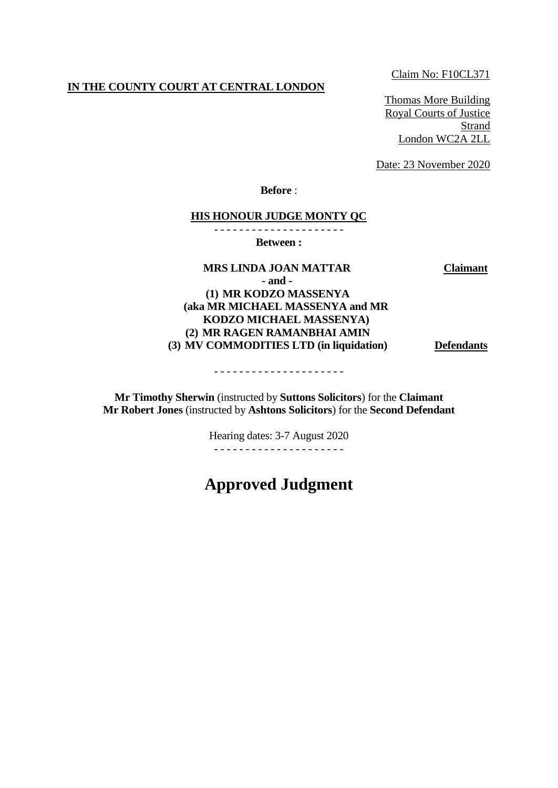#### **IN THE COUNTY COURT AT CENTRAL LONDON**

Claim No: F10CL371

Thomas More Building Royal Courts of Justice **Strand** London WC2A 2LL

Date: 23 November 2020

**Before** :

#### **HIS HONOUR JUDGE MONTY QC**

- - - - - - - - - - - - - - - - - - - - -

**Between :**

**MRS LINDA JOAN MATTAR Claimant**

**- and - (1) MR KODZO MASSENYA**

**(aka MR MICHAEL MASSENYA and MR KODZO MICHAEL MASSENYA) (2) MR RAGEN RAMANBHAI AMIN**

**(3) MV COMMODITIES LTD (in liquidation) Defendants**

- - - - - - - - - - - - - - - - - - - - -

**Mr Timothy Sherwin** (instructed by **Suttons Solicitors**) for the **Claimant Mr Robert Jones** (instructed by **Ashtons Solicitors**) for the **Second Defendant**

> Hearing dates: 3-7 August 2020 - - - - - - - - - - - - - - - - - - - - -

# **Approved Judgment**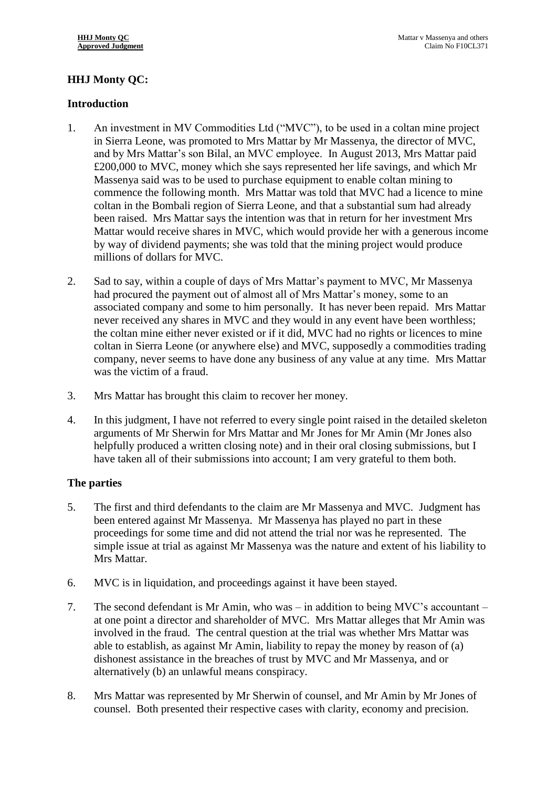# **HHJ Monty QC:**

## **Introduction**

- 1. An investment in MV Commodities Ltd ("MVC"), to be used in a coltan mine project in Sierra Leone, was promoted to Mrs Mattar by Mr Massenya, the director of MVC, and by Mrs Mattar's son Bilal, an MVC employee. In August 2013, Mrs Mattar paid £200,000 to MVC, money which she says represented her life savings, and which Mr Massenya said was to be used to purchase equipment to enable coltan mining to commence the following month. Mrs Mattar was told that MVC had a licence to mine coltan in the Bombali region of Sierra Leone, and that a substantial sum had already been raised. Mrs Mattar says the intention was that in return for her investment Mrs Mattar would receive shares in MVC, which would provide her with a generous income by way of dividend payments; she was told that the mining project would produce millions of dollars for MVC.
- 2. Sad to say, within a couple of days of Mrs Mattar's payment to MVC, Mr Massenya had procured the payment out of almost all of Mrs Mattar's money, some to an associated company and some to him personally. It has never been repaid. Mrs Mattar never received any shares in MVC and they would in any event have been worthless; the coltan mine either never existed or if it did, MVC had no rights or licences to mine coltan in Sierra Leone (or anywhere else) and MVC, supposedly a commodities trading company, never seems to have done any business of any value at any time. Mrs Mattar was the victim of a fraud.
- 3. Mrs Mattar has brought this claim to recover her money.
- 4. In this judgment, I have not referred to every single point raised in the detailed skeleton arguments of Mr Sherwin for Mrs Mattar and Mr Jones for Mr Amin (Mr Jones also helpfully produced a written closing note) and in their oral closing submissions, but I have taken all of their submissions into account; I am very grateful to them both.

## **The parties**

- 5. The first and third defendants to the claim are Mr Massenya and MVC. Judgment has been entered against Mr Massenya. Mr Massenya has played no part in these proceedings for some time and did not attend the trial nor was he represented. The simple issue at trial as against Mr Massenya was the nature and extent of his liability to Mrs Mattar.
- 6. MVC is in liquidation, and proceedings against it have been stayed.
- 7. The second defendant is Mr Amin, who was in addition to being MVC's accountant at one point a director and shareholder of MVC. Mrs Mattar alleges that Mr Amin was involved in the fraud. The central question at the trial was whether Mrs Mattar was able to establish, as against Mr Amin, liability to repay the money by reason of (a) dishonest assistance in the breaches of trust by MVC and Mr Massenya, and or alternatively (b) an unlawful means conspiracy.
- 8. Mrs Mattar was represented by Mr Sherwin of counsel, and Mr Amin by Mr Jones of counsel. Both presented their respective cases with clarity, economy and precision.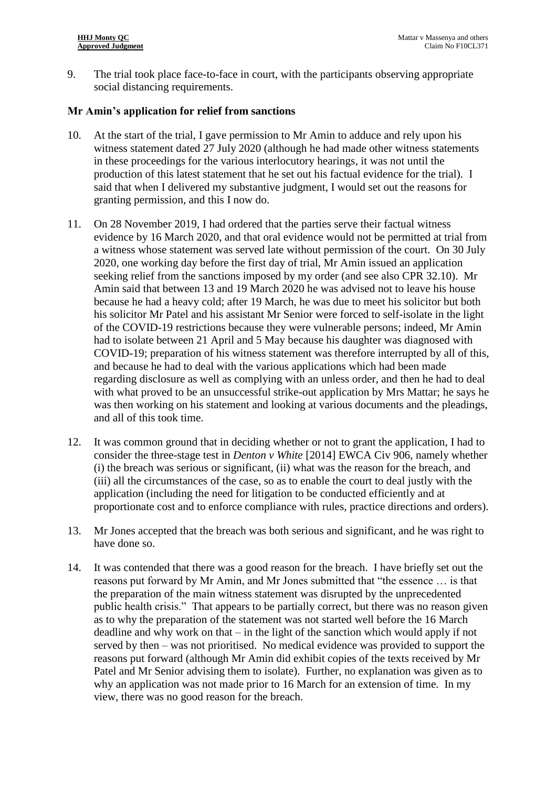9. The trial took place face-to-face in court, with the participants observing appropriate social distancing requirements.

#### **Mr Amin's application for relief from sanctions**

- 10. At the start of the trial, I gave permission to Mr Amin to adduce and rely upon his witness statement dated 27 July 2020 (although he had made other witness statements in these proceedings for the various interlocutory hearings, it was not until the production of this latest statement that he set out his factual evidence for the trial). I said that when I delivered my substantive judgment, I would set out the reasons for granting permission, and this I now do.
- 11. On 28 November 2019, I had ordered that the parties serve their factual witness evidence by 16 March 2020, and that oral evidence would not be permitted at trial from a witness whose statement was served late without permission of the court. On 30 July 2020, one working day before the first day of trial, Mr Amin issued an application seeking relief from the sanctions imposed by my order (and see also CPR 32.10). Mr Amin said that between 13 and 19 March 2020 he was advised not to leave his house because he had a heavy cold; after 19 March, he was due to meet his solicitor but both his solicitor Mr Patel and his assistant Mr Senior were forced to self-isolate in the light of the COVID-19 restrictions because they were vulnerable persons; indeed, Mr Amin had to isolate between 21 April and 5 May because his daughter was diagnosed with COVID-19; preparation of his witness statement was therefore interrupted by all of this, and because he had to deal with the various applications which had been made regarding disclosure as well as complying with an unless order, and then he had to deal with what proved to be an unsuccessful strike-out application by Mrs Mattar; he says he was then working on his statement and looking at various documents and the pleadings, and all of this took time.
- 12. It was common ground that in deciding whether or not to grant the application, I had to consider the three-stage test in *Denton v White* [2014] EWCA Civ 906, namely whether (i) the breach was serious or significant, (ii) what was the reason for the breach, and (iii) all the circumstances of the case, so as to enable the court to deal justly with the application (including the need for litigation to be conducted efficiently and at proportionate cost and to enforce compliance with rules, practice directions and orders).
- 13. Mr Jones accepted that the breach was both serious and significant, and he was right to have done so.
- 14. It was contended that there was a good reason for the breach. I have briefly set out the reasons put forward by Mr Amin, and Mr Jones submitted that "the essence … is that the preparation of the main witness statement was disrupted by the unprecedented public health crisis." That appears to be partially correct, but there was no reason given as to why the preparation of the statement was not started well before the 16 March deadline and why work on that – in the light of the sanction which would apply if not served by then – was not prioritised. No medical evidence was provided to support the reasons put forward (although Mr Amin did exhibit copies of the texts received by Mr Patel and Mr Senior advising them to isolate). Further, no explanation was given as to why an application was not made prior to 16 March for an extension of time. In my view, there was no good reason for the breach.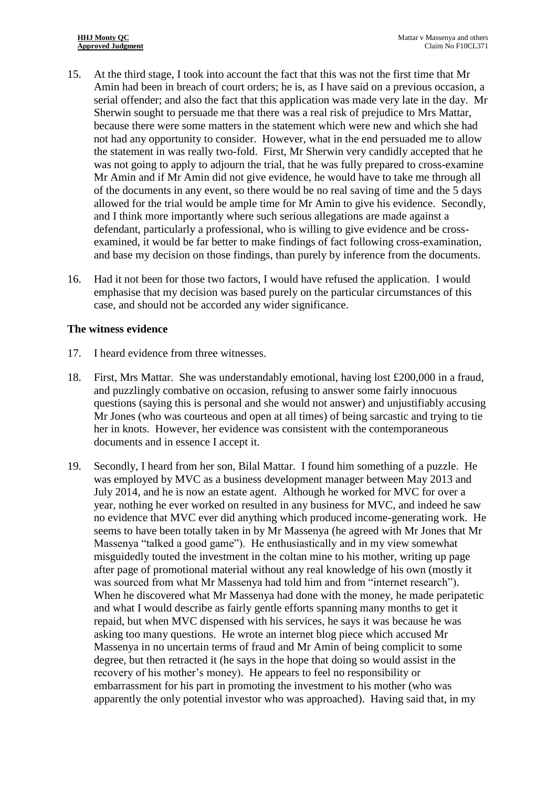- 15. At the third stage, I took into account the fact that this was not the first time that Mr Amin had been in breach of court orders; he is, as I have said on a previous occasion, a serial offender; and also the fact that this application was made very late in the day. Mr Sherwin sought to persuade me that there was a real risk of prejudice to Mrs Mattar, because there were some matters in the statement which were new and which she had not had any opportunity to consider. However, what in the end persuaded me to allow the statement in was really two-fold. First, Mr Sherwin very candidly accepted that he was not going to apply to adjourn the trial, that he was fully prepared to cross-examine Mr Amin and if Mr Amin did not give evidence, he would have to take me through all of the documents in any event, so there would be no real saving of time and the 5 days allowed for the trial would be ample time for Mr Amin to give his evidence. Secondly, and I think more importantly where such serious allegations are made against a defendant, particularly a professional, who is willing to give evidence and be crossexamined, it would be far better to make findings of fact following cross-examination, and base my decision on those findings, than purely by inference from the documents.
- 16. Had it not been for those two factors, I would have refused the application. I would emphasise that my decision was based purely on the particular circumstances of this case, and should not be accorded any wider significance.

#### **The witness evidence**

- 17. I heard evidence from three witnesses.
- 18. First, Mrs Mattar. She was understandably emotional, having lost £200,000 in a fraud, and puzzlingly combative on occasion, refusing to answer some fairly innocuous questions (saying this is personal and she would not answer) and unjustifiably accusing Mr Jones (who was courteous and open at all times) of being sarcastic and trying to tie her in knots. However, her evidence was consistent with the contemporaneous documents and in essence I accept it.
- 19. Secondly, I heard from her son, Bilal Mattar. I found him something of a puzzle. He was employed by MVC as a business development manager between May 2013 and July 2014, and he is now an estate agent. Although he worked for MVC for over a year, nothing he ever worked on resulted in any business for MVC, and indeed he saw no evidence that MVC ever did anything which produced income-generating work. He seems to have been totally taken in by Mr Massenya (he agreed with Mr Jones that Mr Massenya "talked a good game"). He enthusiastically and in my view somewhat misguidedly touted the investment in the coltan mine to his mother, writing up page after page of promotional material without any real knowledge of his own (mostly it was sourced from what Mr Massenya had told him and from "internet research"). When he discovered what Mr Massenya had done with the money, he made peripatetic and what I would describe as fairly gentle efforts spanning many months to get it repaid, but when MVC dispensed with his services, he says it was because he was asking too many questions. He wrote an internet blog piece which accused Mr Massenya in no uncertain terms of fraud and Mr Amin of being complicit to some degree, but then retracted it (he says in the hope that doing so would assist in the recovery of his mother's money). He appears to feel no responsibility or embarrassment for his part in promoting the investment to his mother (who was apparently the only potential investor who was approached). Having said that, in my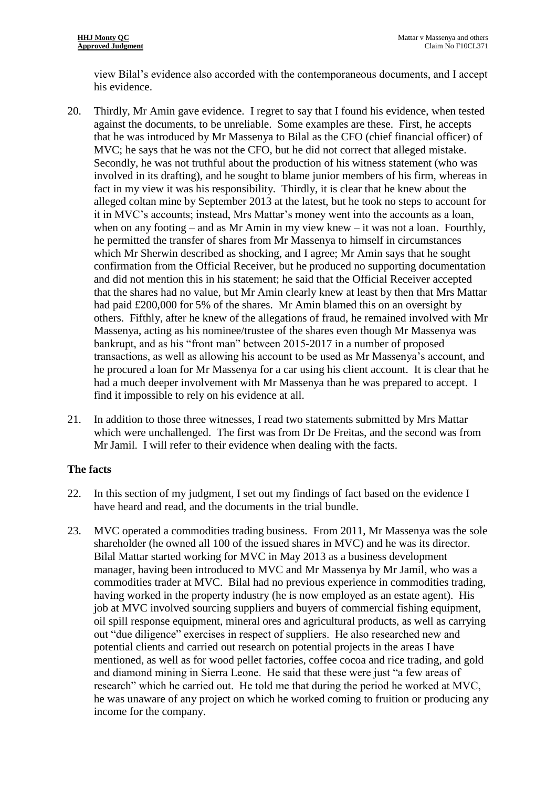view Bilal's evidence also accorded with the contemporaneous documents, and I accept his evidence.

- 20. Thirdly, Mr Amin gave evidence. I regret to say that I found his evidence, when tested against the documents, to be unreliable. Some examples are these. First, he accepts that he was introduced by Mr Massenya to Bilal as the CFO (chief financial officer) of MVC; he says that he was not the CFO, but he did not correct that alleged mistake. Secondly, he was not truthful about the production of his witness statement (who was involved in its drafting), and he sought to blame junior members of his firm, whereas in fact in my view it was his responsibility. Thirdly, it is clear that he knew about the alleged coltan mine by September 2013 at the latest, but he took no steps to account for it in MVC's accounts; instead, Mrs Mattar's money went into the accounts as a loan, when on any footing – and as Mr Amin in my view knew – it was not a loan. Fourthly, he permitted the transfer of shares from Mr Massenya to himself in circumstances which Mr Sherwin described as shocking, and I agree; Mr Amin says that he sought confirmation from the Official Receiver, but he produced no supporting documentation and did not mention this in his statement; he said that the Official Receiver accepted that the shares had no value, but Mr Amin clearly knew at least by then that Mrs Mattar had paid £200,000 for 5% of the shares. Mr Amin blamed this on an oversight by others. Fifthly, after he knew of the allegations of fraud, he remained involved with Mr Massenya, acting as his nominee/trustee of the shares even though Mr Massenya was bankrupt, and as his "front man" between 2015-2017 in a number of proposed transactions, as well as allowing his account to be used as Mr Massenya's account, and he procured a loan for Mr Massenya for a car using his client account. It is clear that he had a much deeper involvement with Mr Massenya than he was prepared to accept. I find it impossible to rely on his evidence at all.
- 21. In addition to those three witnesses, I read two statements submitted by Mrs Mattar which were unchallenged. The first was from Dr De Freitas, and the second was from Mr Jamil. I will refer to their evidence when dealing with the facts.

## **The facts**

- 22. In this section of my judgment, I set out my findings of fact based on the evidence I have heard and read, and the documents in the trial bundle.
- 23. MVC operated a commodities trading business. From 2011, Mr Massenya was the sole shareholder (he owned all 100 of the issued shares in MVC) and he was its director. Bilal Mattar started working for MVC in May 2013 as a business development manager, having been introduced to MVC and Mr Massenya by Mr Jamil, who was a commodities trader at MVC. Bilal had no previous experience in commodities trading, having worked in the property industry (he is now employed as an estate agent). His job at MVC involved sourcing suppliers and buyers of commercial fishing equipment, oil spill response equipment, mineral ores and agricultural products, as well as carrying out "due diligence" exercises in respect of suppliers. He also researched new and potential clients and carried out research on potential projects in the areas I have mentioned, as well as for wood pellet factories, coffee cocoa and rice trading, and gold and diamond mining in Sierra Leone. He said that these were just "a few areas of research" which he carried out. He told me that during the period he worked at MVC, he was unaware of any project on which he worked coming to fruition or producing any income for the company.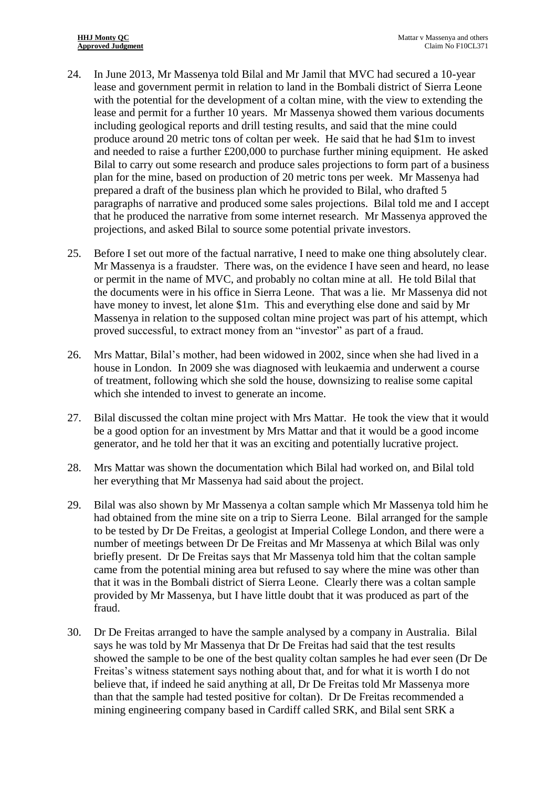- 24. In June 2013, Mr Massenya told Bilal and Mr Jamil that MVC had secured a 10-year lease and government permit in relation to land in the Bombali district of Sierra Leone with the potential for the development of a coltan mine, with the view to extending the lease and permit for a further 10 years. Mr Massenya showed them various documents including geological reports and drill testing results, and said that the mine could produce around 20 metric tons of coltan per week. He said that he had \$1m to invest and needed to raise a further £200,000 to purchase further mining equipment. He asked Bilal to carry out some research and produce sales projections to form part of a business plan for the mine, based on production of 20 metric tons per week. Mr Massenya had prepared a draft of the business plan which he provided to Bilal, who drafted 5 paragraphs of narrative and produced some sales projections. Bilal told me and I accept that he produced the narrative from some internet research. Mr Massenya approved the projections, and asked Bilal to source some potential private investors.
- <span id="page-5-0"></span>25. Before I set out more of the factual narrative, I need to make one thing absolutely clear. Mr Massenya is a fraudster. There was, on the evidence I have seen and heard, no lease or permit in the name of MVC, and probably no coltan mine at all. He told Bilal that the documents were in his office in Sierra Leone. That was a lie. Mr Massenya did not have money to invest, let alone \$1m. This and everything else done and said by Mr Massenya in relation to the supposed coltan mine project was part of his attempt, which proved successful, to extract money from an "investor" as part of a fraud.
- 26. Mrs Mattar, Bilal's mother, had been widowed in 2002, since when she had lived in a house in London. In 2009 she was diagnosed with leukaemia and underwent a course of treatment, following which she sold the house, downsizing to realise some capital which she intended to invest to generate an income.
- 27. Bilal discussed the coltan mine project with Mrs Mattar. He took the view that it would be a good option for an investment by Mrs Mattar and that it would be a good income generator, and he told her that it was an exciting and potentially lucrative project.
- 28. Mrs Mattar was shown the documentation which Bilal had worked on, and Bilal told her everything that Mr Massenya had said about the project.
- 29. Bilal was also shown by Mr Massenya a coltan sample which Mr Massenya told him he had obtained from the mine site on a trip to Sierra Leone. Bilal arranged for the sample to be tested by Dr De Freitas, a geologist at Imperial College London, and there were a number of meetings between Dr De Freitas and Mr Massenya at which Bilal was only briefly present. Dr De Freitas says that Mr Massenya told him that the coltan sample came from the potential mining area but refused to say where the mine was other than that it was in the Bombali district of Sierra Leone. Clearly there was a coltan sample provided by Mr Massenya, but I have little doubt that it was produced as part of the fraud.
- 30. Dr De Freitas arranged to have the sample analysed by a company in Australia. Bilal says he was told by Mr Massenya that Dr De Freitas had said that the test results showed the sample to be one of the best quality coltan samples he had ever seen (Dr De Freitas's witness statement says nothing about that, and for what it is worth I do not believe that, if indeed he said anything at all, Dr De Freitas told Mr Massenya more than that the sample had tested positive for coltan). Dr De Freitas recommended a mining engineering company based in Cardiff called SRK, and Bilal sent SRK a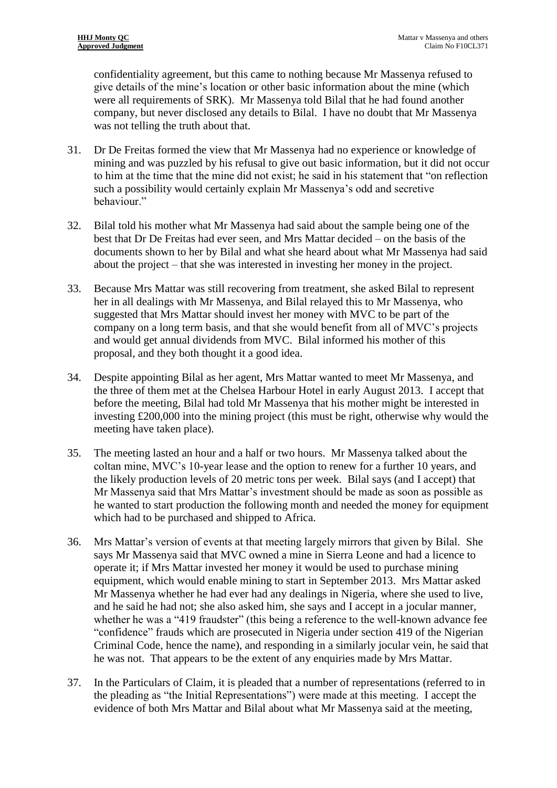confidentiality agreement, but this came to nothing because Mr Massenya refused to give details of the mine's location or other basic information about the mine (which were all requirements of SRK). Mr Massenya told Bilal that he had found another company, but never disclosed any details to Bilal. I have no doubt that Mr Massenya was not telling the truth about that.

- 31. Dr De Freitas formed the view that Mr Massenya had no experience or knowledge of mining and was puzzled by his refusal to give out basic information, but it did not occur to him at the time that the mine did not exist; he said in his statement that "on reflection such a possibility would certainly explain Mr Massenya's odd and secretive behaviour."
- 32. Bilal told his mother what Mr Massenya had said about the sample being one of the best that Dr De Freitas had ever seen, and Mrs Mattar decided – on the basis of the documents shown to her by Bilal and what she heard about what Mr Massenya had said about the project – that she was interested in investing her money in the project.
- 33. Because Mrs Mattar was still recovering from treatment, she asked Bilal to represent her in all dealings with Mr Massenya, and Bilal relayed this to Mr Massenya, who suggested that Mrs Mattar should invest her money with MVC to be part of the company on a long term basis, and that she would benefit from all of MVC's projects and would get annual dividends from MVC. Bilal informed his mother of this proposal, and they both thought it a good idea.
- 34. Despite appointing Bilal as her agent, Mrs Mattar wanted to meet Mr Massenya, and the three of them met at the Chelsea Harbour Hotel in early August 2013. I accept that before the meeting, Bilal had told Mr Massenya that his mother might be interested in investing £200,000 into the mining project (this must be right, otherwise why would the meeting have taken place).
- 35. The meeting lasted an hour and a half or two hours. Mr Massenya talked about the coltan mine, MVC's 10-year lease and the option to renew for a further 10 years, and the likely production levels of 20 metric tons per week. Bilal says (and I accept) that Mr Massenya said that Mrs Mattar's investment should be made as soon as possible as he wanted to start production the following month and needed the money for equipment which had to be purchased and shipped to Africa.
- 36. Mrs Mattar's version of events at that meeting largely mirrors that given by Bilal. She says Mr Massenya said that MVC owned a mine in Sierra Leone and had a licence to operate it; if Mrs Mattar invested her money it would be used to purchase mining equipment, which would enable mining to start in September 2013. Mrs Mattar asked Mr Massenya whether he had ever had any dealings in Nigeria, where she used to live, and he said he had not; she also asked him, she says and I accept in a jocular manner, whether he was a "419 fraudster" (this being a reference to the well-known advance fee "confidence" frauds which are prosecuted in Nigeria under section 419 of the Nigerian Criminal Code, hence the name), and responding in a similarly jocular vein, he said that he was not. That appears to be the extent of any enquiries made by Mrs Mattar.
- 37. In the Particulars of Claim, it is pleaded that a number of representations (referred to in the pleading as "the Initial Representations") were made at this meeting. I accept the evidence of both Mrs Mattar and Bilal about what Mr Massenya said at the meeting,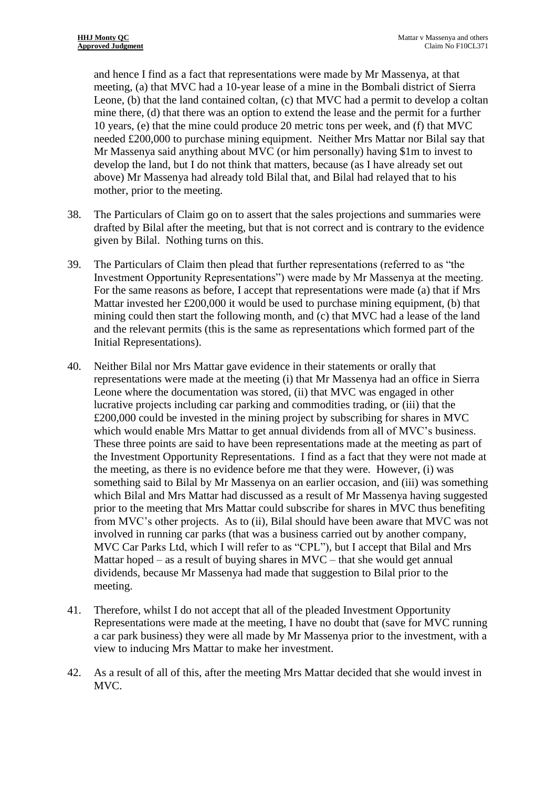and hence I find as a fact that representations were made by Mr Massenya, at that meeting, (a) that MVC had a 10-year lease of a mine in the Bombali district of Sierra Leone, (b) that the land contained coltan, (c) that MVC had a permit to develop a coltan mine there, (d) that there was an option to extend the lease and the permit for a further 10 years, (e) that the mine could produce 20 metric tons per week, and (f) that MVC needed £200,000 to purchase mining equipment. Neither Mrs Mattar nor Bilal say that Mr Massenya said anything about MVC (or him personally) having \$1m to invest to develop the land, but I do not think that matters, because (as I have already set out above) Mr Massenya had already told Bilal that, and Bilal had relayed that to his mother, prior to the meeting.

- 38. The Particulars of Claim go on to assert that the sales projections and summaries were drafted by Bilal after the meeting, but that is not correct and is contrary to the evidence given by Bilal. Nothing turns on this.
- 39. The Particulars of Claim then plead that further representations (referred to as "the Investment Opportunity Representations") were made by Mr Massenya at the meeting. For the same reasons as before, I accept that representations were made (a) that if Mrs Mattar invested her £200,000 it would be used to purchase mining equipment, (b) that mining could then start the following month, and (c) that MVC had a lease of the land and the relevant permits (this is the same as representations which formed part of the Initial Representations).
- 40. Neither Bilal nor Mrs Mattar gave evidence in their statements or orally that representations were made at the meeting (i) that Mr Massenya had an office in Sierra Leone where the documentation was stored, (ii) that MVC was engaged in other lucrative projects including car parking and commodities trading, or (iii) that the £200,000 could be invested in the mining project by subscribing for shares in MVC which would enable Mrs Mattar to get annual dividends from all of MVC's business. These three points are said to have been representations made at the meeting as part of the Investment Opportunity Representations. I find as a fact that they were not made at the meeting, as there is no evidence before me that they were. However, (i) was something said to Bilal by Mr Massenya on an earlier occasion, and (iii) was something which Bilal and Mrs Mattar had discussed as a result of Mr Massenya having suggested prior to the meeting that Mrs Mattar could subscribe for shares in MVC thus benefiting from MVC's other projects. As to (ii), Bilal should have been aware that MVC was not involved in running car parks (that was a business carried out by another company, MVC Car Parks Ltd, which I will refer to as "CPL"), but I accept that Bilal and Mrs Mattar hoped – as a result of buying shares in MVC – that she would get annual dividends, because Mr Massenya had made that suggestion to Bilal prior to the meeting.
- <span id="page-7-0"></span>41. Therefore, whilst I do not accept that all of the pleaded Investment Opportunity Representations were made at the meeting, I have no doubt that (save for MVC running a car park business) they were all made by Mr Massenya prior to the investment, with a view to inducing Mrs Mattar to make her investment.
- 42. As a result of all of this, after the meeting Mrs Mattar decided that she would invest in MVC.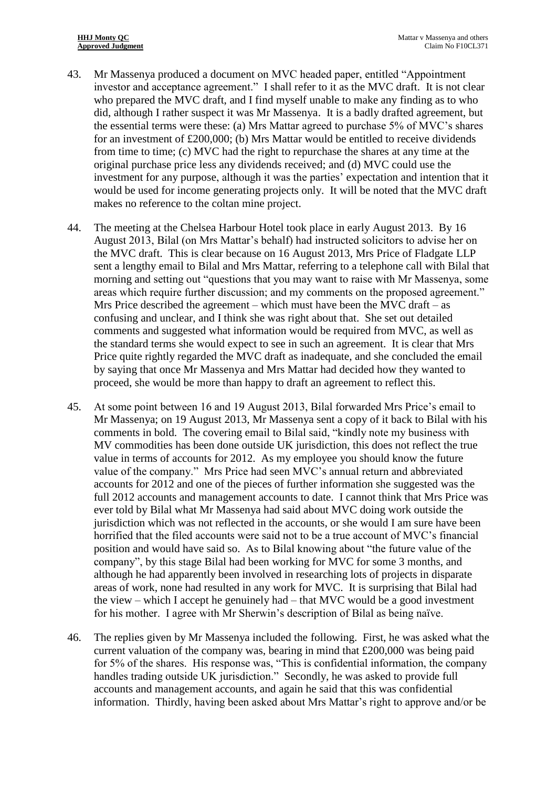- 43. Mr Massenya produced a document on MVC headed paper, entitled "Appointment investor and acceptance agreement." I shall refer to it as the MVC draft. It is not clear who prepared the MVC draft, and I find myself unable to make any finding as to who did, although I rather suspect it was Mr Massenya. It is a badly drafted agreement, but the essential terms were these: (a) Mrs Mattar agreed to purchase 5% of MVC's shares for an investment of £200,000; (b) Mrs Mattar would be entitled to receive dividends from time to time; (c) MVC had the right to repurchase the shares at any time at the original purchase price less any dividends received; and (d) MVC could use the investment for any purpose, although it was the parties' expectation and intention that it would be used for income generating projects only. It will be noted that the MVC draft makes no reference to the coltan mine project.
- 44. The meeting at the Chelsea Harbour Hotel took place in early August 2013. By 16 August 2013, Bilal (on Mrs Mattar's behalf) had instructed solicitors to advise her on the MVC draft. This is clear because on 16 August 2013, Mrs Price of Fladgate LLP sent a lengthy email to Bilal and Mrs Mattar, referring to a telephone call with Bilal that morning and setting out "questions that you may want to raise with Mr Massenya, some areas which require further discussion; and my comments on the proposed agreement." Mrs Price described the agreement – which must have been the MVC draft – as confusing and unclear, and I think she was right about that. She set out detailed comments and suggested what information would be required from MVC, as well as the standard terms she would expect to see in such an agreement. It is clear that Mrs Price quite rightly regarded the MVC draft as inadequate, and she concluded the email by saying that once Mr Massenya and Mrs Mattar had decided how they wanted to proceed, she would be more than happy to draft an agreement to reflect this.
- 45. At some point between 16 and 19 August 2013, Bilal forwarded Mrs Price's email to Mr Massenya; on 19 August 2013, Mr Massenya sent a copy of it back to Bilal with his comments in bold. The covering email to Bilal said, "kindly note my business with MV commodities has been done outside UK jurisdiction, this does not reflect the true value in terms of accounts for 2012. As my employee you should know the future value of the company." Mrs Price had seen MVC's annual return and abbreviated accounts for 2012 and one of the pieces of further information she suggested was the full 2012 accounts and management accounts to date. I cannot think that Mrs Price was ever told by Bilal what Mr Massenya had said about MVC doing work outside the jurisdiction which was not reflected in the accounts, or she would I am sure have been horrified that the filed accounts were said not to be a true account of MVC's financial position and would have said so. As to Bilal knowing about "the future value of the company", by this stage Bilal had been working for MVC for some 3 months, and although he had apparently been involved in researching lots of projects in disparate areas of work, none had resulted in any work for MVC. It is surprising that Bilal had the view – which I accept he genuinely had – that MVC would be a good investment for his mother. I agree with Mr Sherwin's description of Bilal as being naïve.
- 46. The replies given by Mr Massenya included the following. First, he was asked what the current valuation of the company was, bearing in mind that £200,000 was being paid for 5% of the shares. His response was, "This is confidential information, the company handles trading outside UK jurisdiction." Secondly, he was asked to provide full accounts and management accounts, and again he said that this was confidential information. Thirdly, having been asked about Mrs Mattar's right to approve and/or be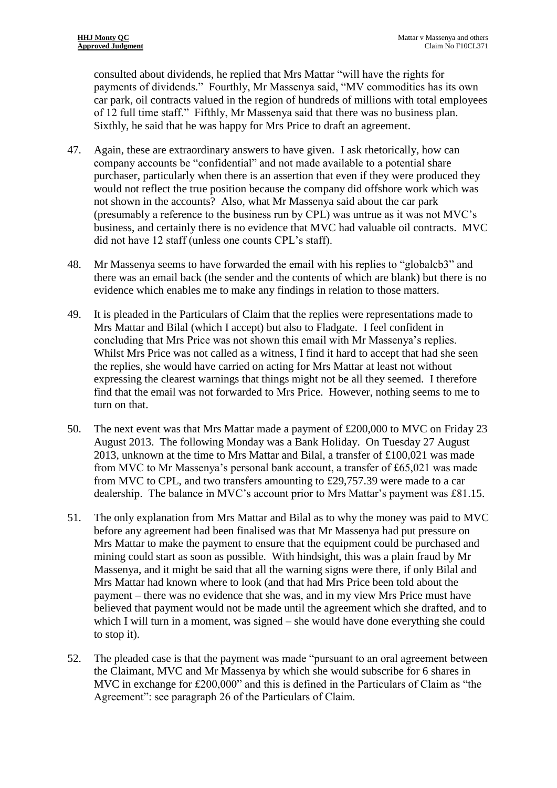consulted about dividends, he replied that Mrs Mattar "will have the rights for payments of dividends." Fourthly, Mr Massenya said, "MV commodities has its own car park, oil contracts valued in the region of hundreds of millions with total employees of 12 full time staff." Fifthly, Mr Massenya said that there was no business plan. Sixthly, he said that he was happy for Mrs Price to draft an agreement.

- 47. Again, these are extraordinary answers to have given. I ask rhetorically, how can company accounts be "confidential" and not made available to a potential share purchaser, particularly when there is an assertion that even if they were produced they would not reflect the true position because the company did offshore work which was not shown in the accounts? Also, what Mr Massenya said about the car park (presumably a reference to the business run by CPL) was untrue as it was not MVC's business, and certainly there is no evidence that MVC had valuable oil contracts. MVC did not have 12 staff (unless one counts CPL's staff).
- 48. Mr Massenya seems to have forwarded the email with his replies to "globalcb3" and there was an email back (the sender and the contents of which are blank) but there is no evidence which enables me to make any findings in relation to those matters.
- 49. It is pleaded in the Particulars of Claim that the replies were representations made to Mrs Mattar and Bilal (which I accept) but also to Fladgate. I feel confident in concluding that Mrs Price was not shown this email with Mr Massenya's replies. Whilst Mrs Price was not called as a witness, I find it hard to accept that had she seen the replies, she would have carried on acting for Mrs Mattar at least not without expressing the clearest warnings that things might not be all they seemed. I therefore find that the email was not forwarded to Mrs Price. However, nothing seems to me to turn on that.
- 50. The next event was that Mrs Mattar made a payment of £200,000 to MVC on Friday 23 August 2013. The following Monday was a Bank Holiday. On Tuesday 27 August 2013, unknown at the time to Mrs Mattar and Bilal, a transfer of £100,021 was made from MVC to Mr Massenya's personal bank account, a transfer of £65,021 was made from MVC to CPL, and two transfers amounting to £29,757.39 were made to a car dealership. The balance in MVC's account prior to Mrs Mattar's payment was £81.15.
- 51. The only explanation from Mrs Mattar and Bilal as to why the money was paid to MVC before any agreement had been finalised was that Mr Massenya had put pressure on Mrs Mattar to make the payment to ensure that the equipment could be purchased and mining could start as soon as possible. With hindsight, this was a plain fraud by Mr Massenya, and it might be said that all the warning signs were there, if only Bilal and Mrs Mattar had known where to look (and that had Mrs Price been told about the payment – there was no evidence that she was, and in my view Mrs Price must have believed that payment would not be made until the agreement which she drafted, and to which I will turn in a moment, was signed – she would have done everything she could to stop it).
- 52. The pleaded case is that the payment was made "pursuant to an oral agreement between the Claimant, MVC and Mr Massenya by which she would subscribe for 6 shares in MVC in exchange for £200,000" and this is defined in the Particulars of Claim as "the Agreement": see paragraph 26 of the Particulars of Claim.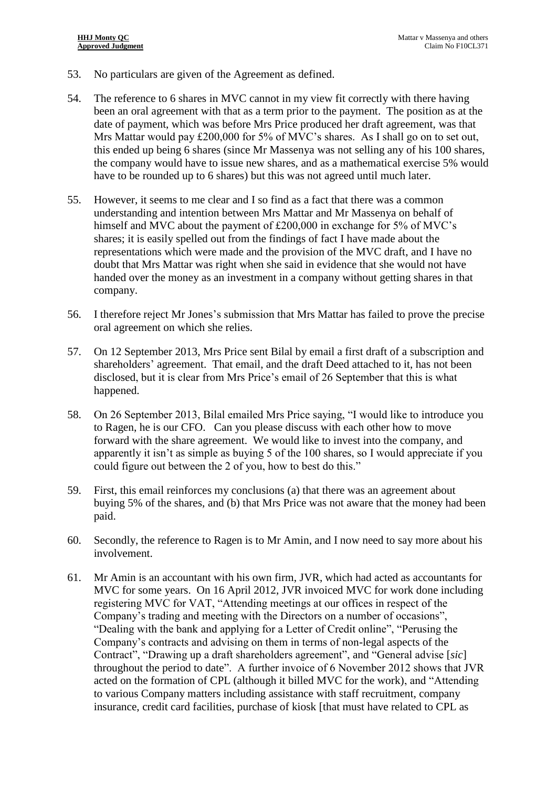- 53. No particulars are given of the Agreement as defined.
- 54. The reference to 6 shares in MVC cannot in my view fit correctly with there having been an oral agreement with that as a term prior to the payment. The position as at the date of payment, which was before Mrs Price produced her draft agreement, was that Mrs Mattar would pay £200,000 for 5% of MVC's shares. As I shall go on to set out, this ended up being 6 shares (since Mr Massenya was not selling any of his 100 shares, the company would have to issue new shares, and as a mathematical exercise 5% would have to be rounded up to 6 shares) but this was not agreed until much later.
- <span id="page-10-0"></span>55. However, it seems to me clear and I so find as a fact that there was a common understanding and intention between Mrs Mattar and Mr Massenya on behalf of himself and MVC about the payment of £200,000 in exchange for 5% of MVC's shares; it is easily spelled out from the findings of fact I have made about the representations which were made and the provision of the MVC draft, and I have no doubt that Mrs Mattar was right when she said in evidence that she would not have handed over the money as an investment in a company without getting shares in that company.
- 56. I therefore reject Mr Jones's submission that Mrs Mattar has failed to prove the precise oral agreement on which she relies.
- 57. On 12 September 2013, Mrs Price sent Bilal by email a first draft of a subscription and shareholders' agreement. That email, and the draft Deed attached to it, has not been disclosed, but it is clear from Mrs Price's email of 26 September that this is what happened.
- 58. On 26 September 2013, Bilal emailed Mrs Price saying, "I would like to introduce you to Ragen, he is our CFO. Can you please discuss with each other how to move forward with the share agreement. We would like to invest into the company, and apparently it isn't as simple as buying 5 of the 100 shares, so I would appreciate if you could figure out between the 2 of you, how to best do this."
- 59. First, this email reinforces my conclusions (a) that there was an agreement about buying 5% of the shares, and (b) that Mrs Price was not aware that the money had been paid.
- 60. Secondly, the reference to Ragen is to Mr Amin, and I now need to say more about his involvement.
- 61. Mr Amin is an accountant with his own firm, JVR, which had acted as accountants for MVC for some years. On 16 April 2012, JVR invoiced MVC for work done including registering MVC for VAT, "Attending meetings at our offices in respect of the Company's trading and meeting with the Directors on a number of occasions", "Dealing with the bank and applying for a Letter of Credit online", "Perusing the Company's contracts and advising on them in terms of non-legal aspects of the Contract", "Drawing up a draft shareholders agreement", and "General advise [*sic*] throughout the period to date". A further invoice of 6 November 2012 shows that JVR acted on the formation of CPL (although it billed MVC for the work), and "Attending to various Company matters including assistance with staff recruitment, company insurance, credit card facilities, purchase of kiosk [that must have related to CPL as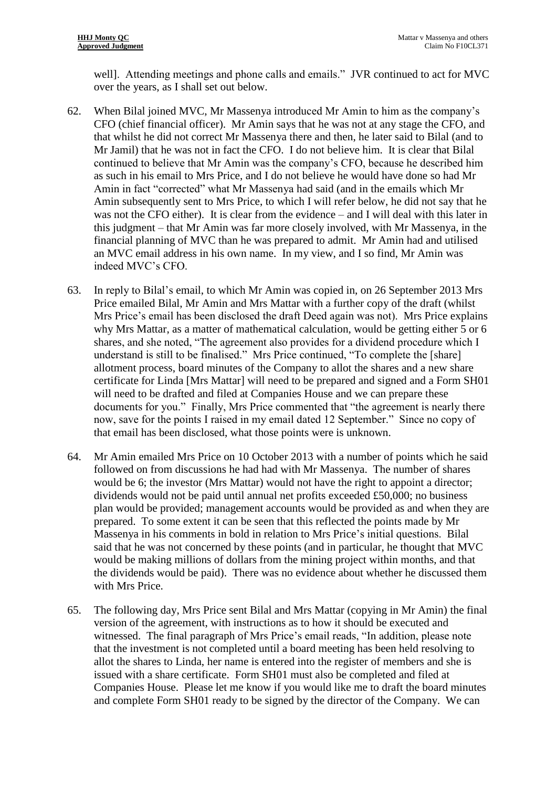well]. Attending meetings and phone calls and emails." JVR continued to act for MVC over the years, as I shall set out below.

- 62. When Bilal joined MVC, Mr Massenya introduced Mr Amin to him as the company's CFO (chief financial officer). Mr Amin says that he was not at any stage the CFO, and that whilst he did not correct Mr Massenya there and then, he later said to Bilal (and to Mr Jamil) that he was not in fact the CFO. I do not believe him. It is clear that Bilal continued to believe that Mr Amin was the company's CFO, because he described him as such in his email to Mrs Price, and I do not believe he would have done so had Mr Amin in fact "corrected" what Mr Massenya had said (and in the emails which Mr Amin subsequently sent to Mrs Price, to which I will refer below, he did not say that he was not the CFO either). It is clear from the evidence – and I will deal with this later in this judgment – that Mr Amin was far more closely involved, with Mr Massenya, in the financial planning of MVC than he was prepared to admit. Mr Amin had and utilised an MVC email address in his own name. In my view, and I so find, Mr Amin was indeed MVC's CFO.
- 63. In reply to Bilal's email, to which Mr Amin was copied in, on 26 September 2013 Mrs Price emailed Bilal, Mr Amin and Mrs Mattar with a further copy of the draft (whilst Mrs Price's email has been disclosed the draft Deed again was not). Mrs Price explains why Mrs Mattar, as a matter of mathematical calculation, would be getting either 5 or 6 shares, and she noted, "The agreement also provides for a dividend procedure which I understand is still to be finalised." Mrs Price continued, "To complete the [share] allotment process, board minutes of the Company to allot the shares and a new share certificate for Linda [Mrs Mattar] will need to be prepared and signed and a Form SH01 will need to be drafted and filed at Companies House and we can prepare these documents for you." Finally, Mrs Price commented that "the agreement is nearly there now, save for the points I raised in my email dated 12 September." Since no copy of that email has been disclosed, what those points were is unknown.
- 64. Mr Amin emailed Mrs Price on 10 October 2013 with a number of points which he said followed on from discussions he had had with Mr Massenya. The number of shares would be 6; the investor (Mrs Mattar) would not have the right to appoint a director; dividends would not be paid until annual net profits exceeded £50,000; no business plan would be provided; management accounts would be provided as and when they are prepared. To some extent it can be seen that this reflected the points made by Mr Massenya in his comments in bold in relation to Mrs Price's initial questions. Bilal said that he was not concerned by these points (and in particular, he thought that MVC would be making millions of dollars from the mining project within months, and that the dividends would be paid). There was no evidence about whether he discussed them with Mrs Price.
- 65. The following day, Mrs Price sent Bilal and Mrs Mattar (copying in Mr Amin) the final version of the agreement, with instructions as to how it should be executed and witnessed. The final paragraph of Mrs Price's email reads, "In addition, please note that the investment is not completed until a board meeting has been held resolving to allot the shares to Linda, her name is entered into the register of members and she is issued with a share certificate. Form SH01 must also be completed and filed at Companies House. Please let me know if you would like me to draft the board minutes and complete Form SH01 ready to be signed by the director of the Company. We can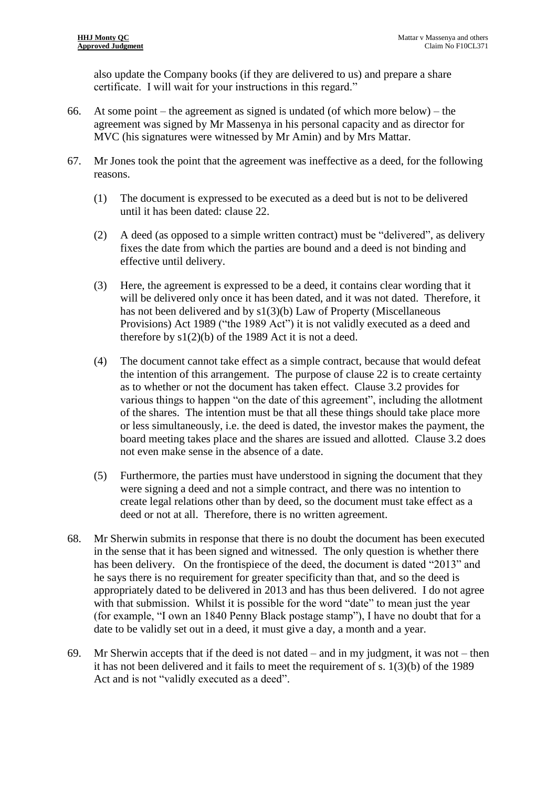also update the Company books (if they are delivered to us) and prepare a share certificate. I will wait for your instructions in this regard."

- 66. At some point the agreement as signed is undated (of which more below) the agreement was signed by Mr Massenya in his personal capacity and as director for MVC (his signatures were witnessed by Mr Amin) and by Mrs Mattar.
- 67. Mr Jones took the point that the agreement was ineffective as a deed, for the following reasons.
	- (1) The document is expressed to be executed as a deed but is not to be delivered until it has been dated: clause 22.
	- (2) A deed (as opposed to a simple written contract) must be "delivered", as delivery fixes the date from which the parties are bound and a deed is not binding and effective until delivery.
	- (3) Here, the agreement is expressed to be a deed, it contains clear wording that it will be delivered only once it has been dated, and it was not dated. Therefore, it has not been delivered and by s1(3)(b) Law of Property (Miscellaneous Provisions) Act 1989 ("the 1989 Act") it is not validly executed as a deed and therefore by  $s1(2)(b)$  of the 1989 Act it is not a deed.
	- (4) The document cannot take effect as a simple contract, because that would defeat the intention of this arrangement. The purpose of clause 22 is to create certainty as to whether or not the document has taken effect. Clause 3.2 provides for various things to happen "on the date of this agreement", including the allotment of the shares. The intention must be that all these things should take place more or less simultaneously, i.e. the deed is dated, the investor makes the payment, the board meeting takes place and the shares are issued and allotted. Clause 3.2 does not even make sense in the absence of a date.
	- (5) Furthermore, the parties must have understood in signing the document that they were signing a deed and not a simple contract, and there was no intention to create legal relations other than by deed, so the document must take effect as a deed or not at all. Therefore, there is no written agreement.
- 68. Mr Sherwin submits in response that there is no doubt the document has been executed in the sense that it has been signed and witnessed. The only question is whether there has been delivery. On the frontispiece of the deed, the document is dated "2013" and he says there is no requirement for greater specificity than that, and so the deed is appropriately dated to be delivered in 2013 and has thus been delivered. I do not agree with that submission. Whilst it is possible for the word "date" to mean just the year (for example, "I own an 1840 Penny Black postage stamp"), I have no doubt that for a date to be validly set out in a deed, it must give a day, a month and a year.
- 69. Mr Sherwin accepts that if the deed is not dated and in my judgment, it was not then it has not been delivered and it fails to meet the requirement of s. 1(3)(b) of the 1989 Act and is not "validly executed as a deed".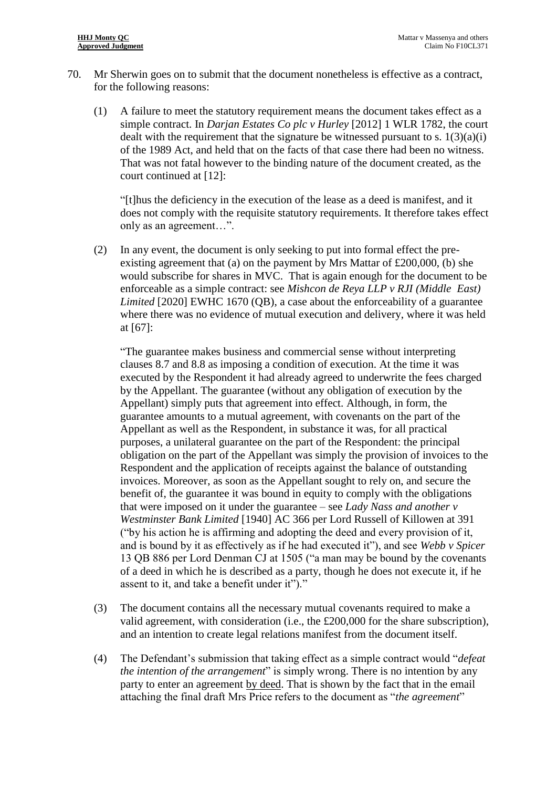- 70. Mr Sherwin goes on to submit that the document nonetheless is effective as a contract, for the following reasons:
	- (1) A failure to meet the statutory requirement means the document takes effect as a simple contract. In *Darjan Estates Co plc v Hurley* [2012] 1 WLR 1782, the court dealt with the requirement that the signature be witnessed pursuant to s.  $1(3)(a)(i)$ of the 1989 Act, and held that on the facts of that case there had been no witness. That was not fatal however to the binding nature of the document created, as the court continued at [12]:

"[t]hus the deficiency in the execution of the lease as a deed is manifest, and it does not comply with the requisite statutory requirements. It therefore takes effect only as an agreement…".

(2) In any event, the document is only seeking to put into formal effect the preexisting agreement that (a) on the payment by Mrs Mattar of £200,000, (b) she would subscribe for shares in MVC. That is again enough for the document to be enforceable as a simple contract: see *Mishcon de Reya LLP v RJI (Middle East) Limited* [2020] EWHC 1670 (QB), a case about the enforceability of a guarantee where there was no evidence of mutual execution and delivery, where it was held at [67]:

"The guarantee makes business and commercial sense without interpreting clauses 8.7 and 8.8 as imposing a condition of execution. At the time it was executed by the Respondent it had already agreed to underwrite the fees charged by the Appellant. The guarantee (without any obligation of execution by the Appellant) simply puts that agreement into effect. Although, in form, the guarantee amounts to a mutual agreement, with covenants on the part of the Appellant as well as the Respondent, in substance it was, for all practical purposes, a unilateral guarantee on the part of the Respondent: the principal obligation on the part of the Appellant was simply the provision of invoices to the Respondent and the application of receipts against the balance of outstanding invoices. Moreover, as soon as the Appellant sought to rely on, and secure the benefit of, the guarantee it was bound in equity to comply with the obligations that were imposed on it under the guarantee – see *Lady Nass and another v Westminster Bank Limited* [1940] AC 366 per Lord Russell of Killowen at 391 ("by his action he is affirming and adopting the deed and every provision of it, and is bound by it as effectively as if he had executed it"), and see *Webb v Spicer* 13 QB 886 per Lord Denman CJ at 1505 ("a man may be bound by the covenants of a deed in which he is described as a party, though he does not execute it, if he assent to it, and take a benefit under it")."

- (3) The document contains all the necessary mutual covenants required to make a valid agreement, with consideration (i.e., the £200,000 for the share subscription), and an intention to create legal relations manifest from the document itself.
- (4) The Defendant's submission that taking effect as a simple contract would "*defeat the intention of the arrangement*" is simply wrong. There is no intention by any party to enter an agreement by deed. That is shown by the fact that in the email attaching the final draft Mrs Price refers to the document as "*the agreement*"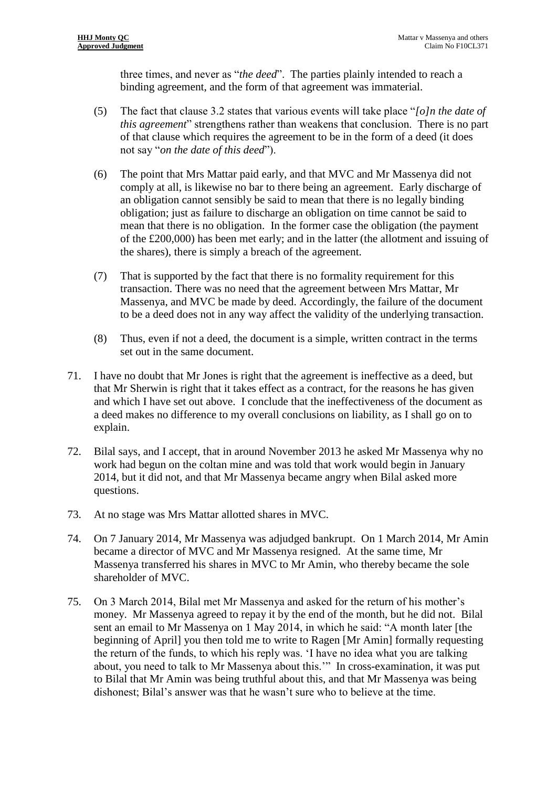three times, and never as "*the deed*". The parties plainly intended to reach a binding agreement, and the form of that agreement was immaterial.

- (5) The fact that clause 3.2 states that various events will take place "*[o]n the date of this agreement*" strengthens rather than weakens that conclusion. There is no part of that clause which requires the agreement to be in the form of a deed (it does not say "*on the date of this deed*").
- (6) The point that Mrs Mattar paid early, and that MVC and Mr Massenya did not comply at all, is likewise no bar to there being an agreement. Early discharge of an obligation cannot sensibly be said to mean that there is no legally binding obligation; just as failure to discharge an obligation on time cannot be said to mean that there is no obligation. In the former case the obligation (the payment of the £200,000) has been met early; and in the latter (the allotment and issuing of the shares), there is simply a breach of the agreement.
- (7) That is supported by the fact that there is no formality requirement for this transaction. There was no need that the agreement between Mrs Mattar, Mr Massenya, and MVC be made by deed. Accordingly, the failure of the document to be a deed does not in any way affect the validity of the underlying transaction.
- (8) Thus, even if not a deed, the document is a simple, written contract in the terms set out in the same document.
- 71. I have no doubt that Mr Jones is right that the agreement is ineffective as a deed, but that Mr Sherwin is right that it takes effect as a contract, for the reasons he has given and which I have set out above. I conclude that the ineffectiveness of the document as a deed makes no difference to my overall conclusions on liability, as I shall go on to explain.
- 72. Bilal says, and I accept, that in around November 2013 he asked Mr Massenya why no work had begun on the coltan mine and was told that work would begin in January 2014, but it did not, and that Mr Massenya became angry when Bilal asked more questions.
- 73. At no stage was Mrs Mattar allotted shares in MVC.
- 74. On 7 January 2014, Mr Massenya was adjudged bankrupt. On 1 March 2014, Mr Amin became a director of MVC and Mr Massenya resigned. At the same time, Mr Massenya transferred his shares in MVC to Mr Amin, who thereby became the sole shareholder of MVC.
- 75. On 3 March 2014, Bilal met Mr Massenya and asked for the return of his mother's money. Mr Massenya agreed to repay it by the end of the month, but he did not. Bilal sent an email to Mr Massenya on 1 May 2014, in which he said: "A month later [the beginning of April] you then told me to write to Ragen [Mr Amin] formally requesting the return of the funds, to which his reply was. 'I have no idea what you are talking about, you need to talk to Mr Massenya about this.'" In cross-examination, it was put to Bilal that Mr Amin was being truthful about this, and that Mr Massenya was being dishonest; Bilal's answer was that he wasn't sure who to believe at the time.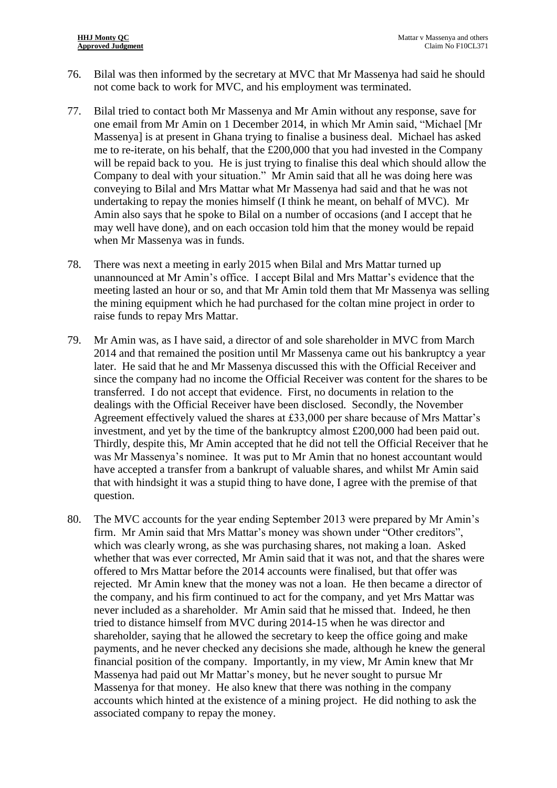- 76. Bilal was then informed by the secretary at MVC that Mr Massenya had said he should not come back to work for MVC, and his employment was terminated.
- 77. Bilal tried to contact both Mr Massenya and Mr Amin without any response, save for one email from Mr Amin on 1 December 2014, in which Mr Amin said, "Michael [Mr Massenya] is at present in Ghana trying to finalise a business deal. Michael has asked me to re-iterate, on his behalf, that the £200,000 that you had invested in the Company will be repaid back to you. He is just trying to finalise this deal which should allow the Company to deal with your situation." Mr Amin said that all he was doing here was conveying to Bilal and Mrs Mattar what Mr Massenya had said and that he was not undertaking to repay the monies himself (I think he meant, on behalf of MVC). Mr Amin also says that he spoke to Bilal on a number of occasions (and I accept that he may well have done), and on each occasion told him that the money would be repaid when Mr Massenya was in funds.
- 78. There was next a meeting in early 2015 when Bilal and Mrs Mattar turned up unannounced at Mr Amin's office. I accept Bilal and Mrs Mattar's evidence that the meeting lasted an hour or so, and that Mr Amin told them that Mr Massenya was selling the mining equipment which he had purchased for the coltan mine project in order to raise funds to repay Mrs Mattar.
- 79. Mr Amin was, as I have said, a director of and sole shareholder in MVC from March 2014 and that remained the position until Mr Massenya came out his bankruptcy a year later. He said that he and Mr Massenya discussed this with the Official Receiver and since the company had no income the Official Receiver was content for the shares to be transferred. I do not accept that evidence. First, no documents in relation to the dealings with the Official Receiver have been disclosed. Secondly, the November Agreement effectively valued the shares at £33,000 per share because of Mrs Mattar's investment, and yet by the time of the bankruptcy almost £200,000 had been paid out. Thirdly, despite this, Mr Amin accepted that he did not tell the Official Receiver that he was Mr Massenya's nominee. It was put to Mr Amin that no honest accountant would have accepted a transfer from a bankrupt of valuable shares, and whilst Mr Amin said that with hindsight it was a stupid thing to have done, I agree with the premise of that question.
- 80. The MVC accounts for the year ending September 2013 were prepared by Mr Amin's firm. Mr Amin said that Mrs Mattar's money was shown under "Other creditors", which was clearly wrong, as she was purchasing shares, not making a loan. Asked whether that was ever corrected, Mr Amin said that it was not, and that the shares were offered to Mrs Mattar before the 2014 accounts were finalised, but that offer was rejected. Mr Amin knew that the money was not a loan. He then became a director of the company, and his firm continued to act for the company, and yet Mrs Mattar was never included as a shareholder. Mr Amin said that he missed that. Indeed, he then tried to distance himself from MVC during 2014-15 when he was director and shareholder, saying that he allowed the secretary to keep the office going and make payments, and he never checked any decisions she made, although he knew the general financial position of the company. Importantly, in my view, Mr Amin knew that Mr Massenya had paid out Mr Mattar's money, but he never sought to pursue Mr Massenya for that money. He also knew that there was nothing in the company accounts which hinted at the existence of a mining project. He did nothing to ask the associated company to repay the money.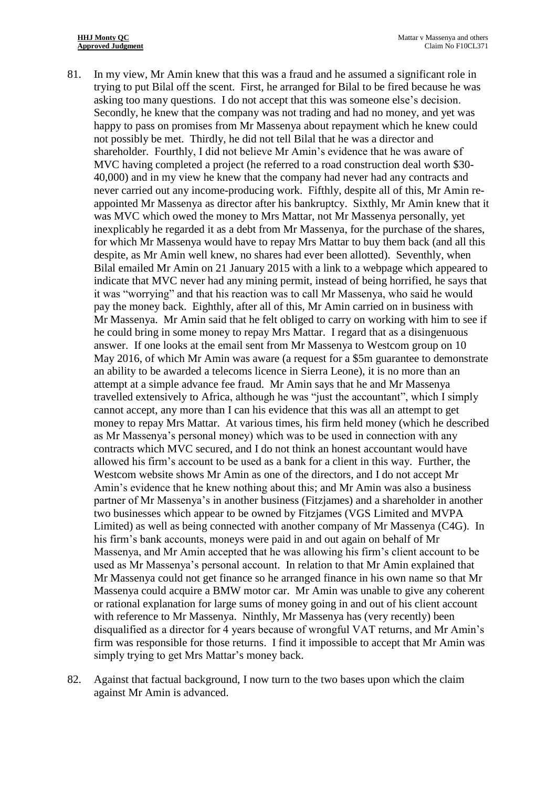- 81. In my view, Mr Amin knew that this was a fraud and he assumed a significant role in trying to put Bilal off the scent. First, he arranged for Bilal to be fired because he was asking too many questions. I do not accept that this was someone else's decision. Secondly, he knew that the company was not trading and had no money, and yet was happy to pass on promises from Mr Massenya about repayment which he knew could not possibly be met. Thirdly, he did not tell Bilal that he was a director and shareholder. Fourthly, I did not believe Mr Amin's evidence that he was aware of MVC having completed a project (he referred to a road construction deal worth \$30- 40,000) and in my view he knew that the company had never had any contracts and never carried out any income-producing work. Fifthly, despite all of this, Mr Amin reappointed Mr Massenya as director after his bankruptcy. Sixthly, Mr Amin knew that it was MVC which owed the money to Mrs Mattar, not Mr Massenya personally, yet inexplicably he regarded it as a debt from Mr Massenya, for the purchase of the shares, for which Mr Massenya would have to repay Mrs Mattar to buy them back (and all this despite, as Mr Amin well knew, no shares had ever been allotted). Seventhly, when Bilal emailed Mr Amin on 21 January 2015 with a link to a webpage which appeared to indicate that MVC never had any mining permit, instead of being horrified, he says that it was "worrying" and that his reaction was to call Mr Massenya, who said he would pay the money back. Eighthly, after all of this, Mr Amin carried on in business with Mr Massenya. Mr Amin said that he felt obliged to carry on working with him to see if he could bring in some money to repay Mrs Mattar. I regard that as a disingenuous answer. If one looks at the email sent from Mr Massenya to Westcom group on 10 May 2016, of which Mr Amin was aware (a request for a \$5m guarantee to demonstrate an ability to be awarded a telecoms licence in Sierra Leone), it is no more than an attempt at a simple advance fee fraud. Mr Amin says that he and Mr Massenya travelled extensively to Africa, although he was "just the accountant", which I simply cannot accept, any more than I can his evidence that this was all an attempt to get money to repay Mrs Mattar. At various times, his firm held money (which he described as Mr Massenya's personal money) which was to be used in connection with any contracts which MVC secured, and I do not think an honest accountant would have allowed his firm's account to be used as a bank for a client in this way. Further, the Westcom website shows Mr Amin as one of the directors, and I do not accept Mr Amin's evidence that he knew nothing about this; and Mr Amin was also a business partner of Mr Massenya's in another business (Fitzjames) and a shareholder in another two businesses which appear to be owned by Fitzjames (VGS Limited and MVPA Limited) as well as being connected with another company of Mr Massenya (C4G). In his firm's bank accounts, moneys were paid in and out again on behalf of Mr Massenya, and Mr Amin accepted that he was allowing his firm's client account to be used as Mr Massenya's personal account. In relation to that Mr Amin explained that Mr Massenya could not get finance so he arranged finance in his own name so that Mr Massenya could acquire a BMW motor car. Mr Amin was unable to give any coherent or rational explanation for large sums of money going in and out of his client account with reference to Mr Massenya. Ninthly, Mr Massenya has (very recently) been disqualified as a director for 4 years because of wrongful VAT returns, and Mr Amin's firm was responsible for those returns. I find it impossible to accept that Mr Amin was simply trying to get Mrs Mattar's money back.
- 82. Against that factual background, I now turn to the two bases upon which the claim against Mr Amin is advanced.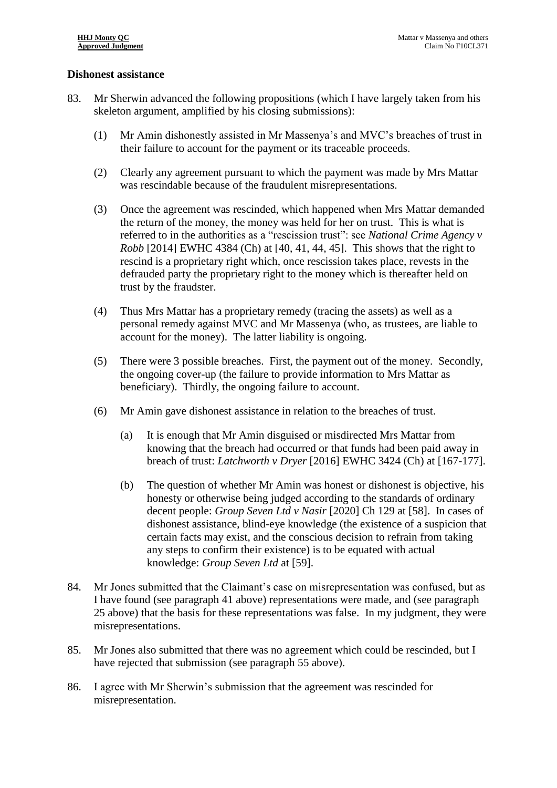#### **Dishonest assistance**

- 83. Mr Sherwin advanced the following propositions (which I have largely taken from his skeleton argument, amplified by his closing submissions):
	- (1) Mr Amin dishonestly assisted in Mr Massenya's and MVC's breaches of trust in their failure to account for the payment or its traceable proceeds.
	- (2) Clearly any agreement pursuant to which the payment was made by Mrs Mattar was rescindable because of the fraudulent misrepresentations.
	- (3) Once the agreement was rescinded, which happened when Mrs Mattar demanded the return of the money, the money was held for her on trust. This is what is referred to in the authorities as a "rescission trust": see *National Crime Agency v Robb* [2014] EWHC 4384 (Ch) at [40, 41, 44, 45]. This shows that the right to rescind is a proprietary right which, once rescission takes place, revests in the defrauded party the proprietary right to the money which is thereafter held on trust by the fraudster.
	- (4) Thus Mrs Mattar has a proprietary remedy (tracing the assets) as well as a personal remedy against MVC and Mr Massenya (who, as trustees, are liable to account for the money). The latter liability is ongoing.
	- (5) There were 3 possible breaches. First, the payment out of the money. Secondly, the ongoing cover-up (the failure to provide information to Mrs Mattar as beneficiary). Thirdly, the ongoing failure to account.
	- (6) Mr Amin gave dishonest assistance in relation to the breaches of trust.
		- (a) It is enough that Mr Amin disguised or misdirected Mrs Mattar from knowing that the breach had occurred or that funds had been paid away in breach of trust: *Latchworth v Dryer* [2016] EWHC 3424 (Ch) at [167-177].
		- (b) The question of whether Mr Amin was honest or dishonest is objective, his honesty or otherwise being judged according to the standards of ordinary decent people: *Group Seven Ltd v Nasir* [2020] Ch 129 at [58]. In cases of dishonest assistance, blind-eye knowledge (the existence of a suspicion that certain facts may exist, and the conscious decision to refrain from taking any steps to confirm their existence) is to be equated with actual knowledge: *Group Seven Ltd* at [59].
- 84. Mr Jones submitted that the Claimant's case on misrepresentation was confused, but as I have found (see paragraph [41](#page-7-0) above) representations were made, and (see paragraph [25](#page-5-0) above) that the basis for these representations was false. In my judgment, they were misrepresentations.
- 85. Mr Jones also submitted that there was no agreement which could be rescinded, but I have rejected that submission (see paragraph [55](#page-10-0) above).
- 86. I agree with Mr Sherwin's submission that the agreement was rescinded for misrepresentation.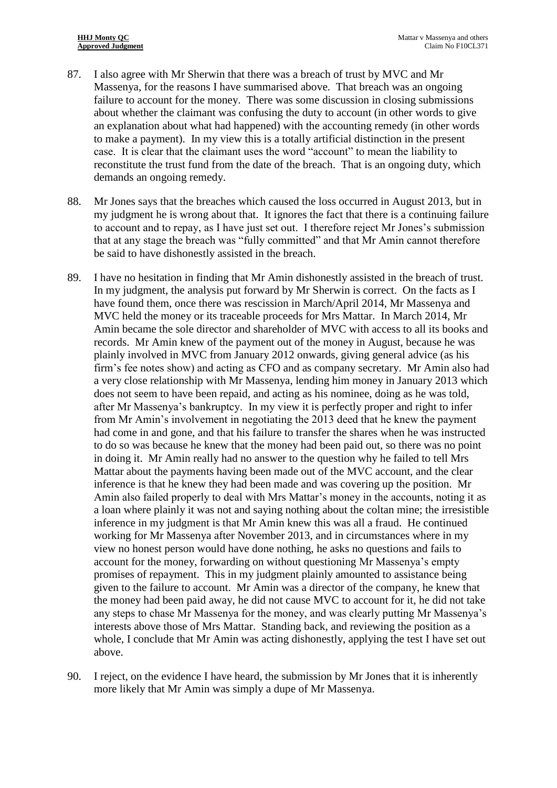- 87. I also agree with Mr Sherwin that there was a breach of trust by MVC and Mr Massenya, for the reasons I have summarised above. That breach was an ongoing failure to account for the money. There was some discussion in closing submissions about whether the claimant was confusing the duty to account (in other words to give an explanation about what had happened) with the accounting remedy (in other words to make a payment). In my view this is a totally artificial distinction in the present case. It is clear that the claimant uses the word "account" to mean the liability to reconstitute the trust fund from the date of the breach. That is an ongoing duty, which demands an ongoing remedy.
- 88. Mr Jones says that the breaches which caused the loss occurred in August 2013, but in my judgment he is wrong about that. It ignores the fact that there is a continuing failure to account and to repay, as I have just set out. I therefore reject Mr Jones's submission that at any stage the breach was "fully committed" and that Mr Amin cannot therefore be said to have dishonestly assisted in the breach.
- 89. I have no hesitation in finding that Mr Amin dishonestly assisted in the breach of trust. In my judgment, the analysis put forward by Mr Sherwin is correct. On the facts as I have found them, once there was rescission in March/April 2014, Mr Massenya and MVC held the money or its traceable proceeds for Mrs Mattar. In March 2014, Mr Amin became the sole director and shareholder of MVC with access to all its books and records. Mr Amin knew of the payment out of the money in August, because he was plainly involved in MVC from January 2012 onwards, giving general advice (as his firm's fee notes show) and acting as CFO and as company secretary. Mr Amin also had a very close relationship with Mr Massenya, lending him money in January 2013 which does not seem to have been repaid, and acting as his nominee, doing as he was told, after Mr Massenya's bankruptcy. In my view it is perfectly proper and right to infer from Mr Amin's involvement in negotiating the 2013 deed that he knew the payment had come in and gone, and that his failure to transfer the shares when he was instructed to do so was because he knew that the money had been paid out, so there was no point in doing it. Mr Amin really had no answer to the question why he failed to tell Mrs Mattar about the payments having been made out of the MVC account, and the clear inference is that he knew they had been made and was covering up the position. Mr Amin also failed properly to deal with Mrs Mattar's money in the accounts, noting it as a loan where plainly it was not and saying nothing about the coltan mine; the irresistible inference in my judgment is that Mr Amin knew this was all a fraud. He continued working for Mr Massenya after November 2013, and in circumstances where in my view no honest person would have done nothing, he asks no questions and fails to account for the money, forwarding on without questioning Mr Massenya's empty promises of repayment. This in my judgment plainly amounted to assistance being given to the failure to account. Mr Amin was a director of the company, he knew that the money had been paid away, he did not cause MVC to account for it, he did not take any steps to chase Mr Massenya for the money, and was clearly putting Mr Massenya's interests above those of Mrs Mattar. Standing back, and reviewing the position as a whole, I conclude that Mr Amin was acting dishonestly, applying the test I have set out above.
- 90. I reject, on the evidence I have heard, the submission by Mr Jones that it is inherently more likely that Mr Amin was simply a dupe of Mr Massenya.